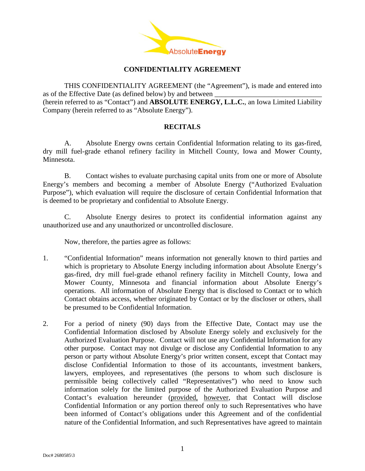

## **CONFIDENTIALITY AGREEMENT**

THIS CONFIDENTIALITY AGREEMENT (the "Agreement"), is made and entered into as of the Effective Date (as defined below) by and between (herein referred to as "Contact") and **ABSOLUTE ENERGY, L.L.C.**, an Iowa Limited Liability Company (herein referred to as "Absolute Energy").

## **RECITALS**

A. Absolute Energy owns certain Confidential Information relating to its gas-fired, dry mill fuel-grade ethanol refinery facility in Mitchell County, Iowa and Mower County, Minnesota.

B. Contact wishes to evaluate purchasing capital units from one or more of Absolute Energy's members and becoming a member of Absolute Energy ("Authorized Evaluation Purpose"), which evaluation will require the disclosure of certain Confidential Information that is deemed to be proprietary and confidential to Absolute Energy.

C. Absolute Energy desires to protect its confidential information against any unauthorized use and any unauthorized or uncontrolled disclosure.

Now, therefore, the parties agree as follows:

- 1. "Confidential Information" means information not generally known to third parties and which is proprietary to Absolute Energy including information about Absolute Energy's gas-fired, dry mill fuel-grade ethanol refinery facility in Mitchell County, Iowa and Mower County, Minnesota and financial information about Absolute Energy's operations. All information of Absolute Energy that is disclosed to Contact or to which Contact obtains access, whether originated by Contact or by the discloser or others, shall be presumed to be Confidential Information.
- 2. For a period of ninety (90) days from the Effective Date, Contact may use the Confidential Information disclosed by Absolute Energy solely and exclusively for the Authorized Evaluation Purpose. Contact will not use any Confidential Information for any other purpose. Contact may not divulge or disclose any Confidential Information to any person or party without Absolute Energy's prior written consent, except that Contact may disclose Confidential Information to those of its accountants, investment bankers, lawyers, employees, and representatives (the persons to whom such disclosure is permissible being collectively called "Representatives") who need to know such information solely for the limited purpose of the Authorized Evaluation Purpose and Contact's evaluation hereunder (provided, however, that Contact will disclose Confidential Information or any portion thereof only to such Representatives who have been informed of Contact's obligations under this Agreement and of the confidential nature of the Confidential Information, and such Representatives have agreed to maintain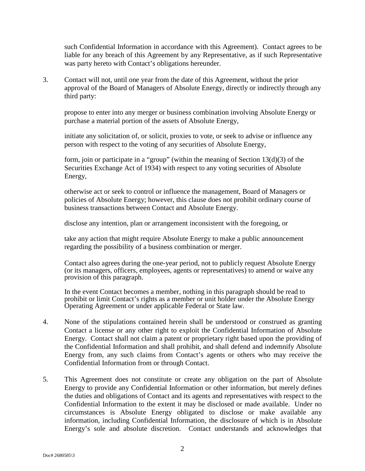such Confidential Information in accordance with this Agreement). Contact agrees to be liable for any breach of this Agreement by any Representative, as if such Representative was party hereto with Contact's obligations hereunder.

3. Contact will not, until one year from the date of this Agreement, without the prior approval of the Board of Managers of Absolute Energy, directly or indirectly through any third party:

 propose to enter into any merger or business combination involving Absolute Energy or purchase a material portion of the assets of Absolute Energy,

 initiate any solicitation of, or solicit, proxies to vote, or seek to advise or influence any person with respect to the voting of any securities of Absolute Energy,

 form, join or participate in a "group" (within the meaning of Section 13(d)(3) of the Securities Exchange Act of 1934) with respect to any voting securities of Absolute Energy,

 otherwise act or seek to control or influence the management, Board of Managers or policies of Absolute Energy; however, this clause does not prohibit ordinary course of business transactions between Contact and Absolute Energy.

disclose any intention, plan or arrangement inconsistent with the foregoing, or

 take any action that might require Absolute Energy to make a public announcement regarding the possibility of a business combination or merger.

 Contact also agrees during the one-year period, not to publicly request Absolute Energy (or its managers, officers, employees, agents or representatives) to amend or waive any provision of this paragraph.

 In the event Contact becomes a member, nothing in this paragraph should be read to prohibit or limit Contact's rights as a member or unit holder under the Absolute Energy Operating Agreement or under applicable Federal or State law.

- 4. None of the stipulations contained herein shall be understood or construed as granting Contact a license or any other right to exploit the Confidential Information of Absolute Energy. Contact shall not claim a patent or proprietary right based upon the providing of the Confidential Information and shall prohibit, and shall defend and indemnify Absolute Energy from, any such claims from Contact's agents or others who may receive the Confidential Information from or through Contact.
- 5. This Agreement does not constitute or create any obligation on the part of Absolute Energy to provide any Confidential Information or other information, but merely defines the duties and obligations of Contact and its agents and representatives with respect to the Confidential Information to the extent it may be disclosed or made available. Under no circumstances is Absolute Energy obligated to disclose or make available any information, including Confidential Information, the disclosure of which is in Absolute Energy's sole and absolute discretion. Contact understands and acknowledges that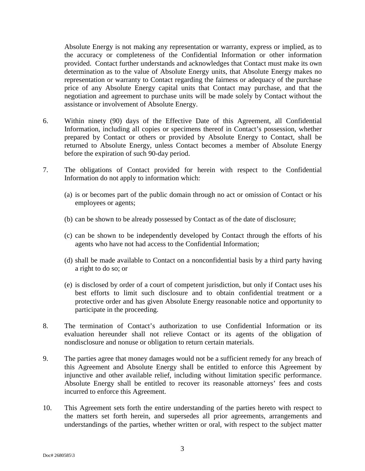Absolute Energy is not making any representation or warranty, express or implied, as to the accuracy or completeness of the Confidential Information or other information provided. Contact further understands and acknowledges that Contact must make its own determination as to the value of Absolute Energy units, that Absolute Energy makes no representation or warranty to Contact regarding the fairness or adequacy of the purchase price of any Absolute Energy capital units that Contact may purchase, and that the negotiation and agreement to purchase units will be made solely by Contact without the assistance or involvement of Absolute Energy.

- 6. Within ninety (90) days of the Effective Date of this Agreement, all Confidential Information, including all copies or specimens thereof in Contact's possession, whether prepared by Contact or others or provided by Absolute Energy to Contact, shall be returned to Absolute Energy, unless Contact becomes a member of Absolute Energy before the expiration of such 90-day period.
- 7. The obligations of Contact provided for herein with respect to the Confidential Information do not apply to information which:
	- (a) is or becomes part of the public domain through no act or omission of Contact or his employees or agents;
	- (b) can be shown to be already possessed by Contact as of the date of disclosure;
	- (c) can be shown to be independently developed by Contact through the efforts of his agents who have not had access to the Confidential Information;
	- (d) shall be made available to Contact on a nonconfidential basis by a third party having a right to do so; or
	- (e) is disclosed by order of a court of competent jurisdiction, but only if Contact uses his best efforts to limit such disclosure and to obtain confidential treatment or a protective order and has given Absolute Energy reasonable notice and opportunity to participate in the proceeding.
- 8. The termination of Contact's authorization to use Confidential Information or its evaluation hereunder shall not relieve Contact or its agents of the obligation of nondisclosure and nonuse or obligation to return certain materials.
- 9. The parties agree that money damages would not be a sufficient remedy for any breach of this Agreement and Absolute Energy shall be entitled to enforce this Agreement by injunctive and other available relief, including without limitation specific performance. Absolute Energy shall be entitled to recover its reasonable attorneys' fees and costs incurred to enforce this Agreement.
- 10. This Agreement sets forth the entire understanding of the parties hereto with respect to the matters set forth herein, and supersedes all prior agreements, arrangements and understandings of the parties, whether written or oral, with respect to the subject matter